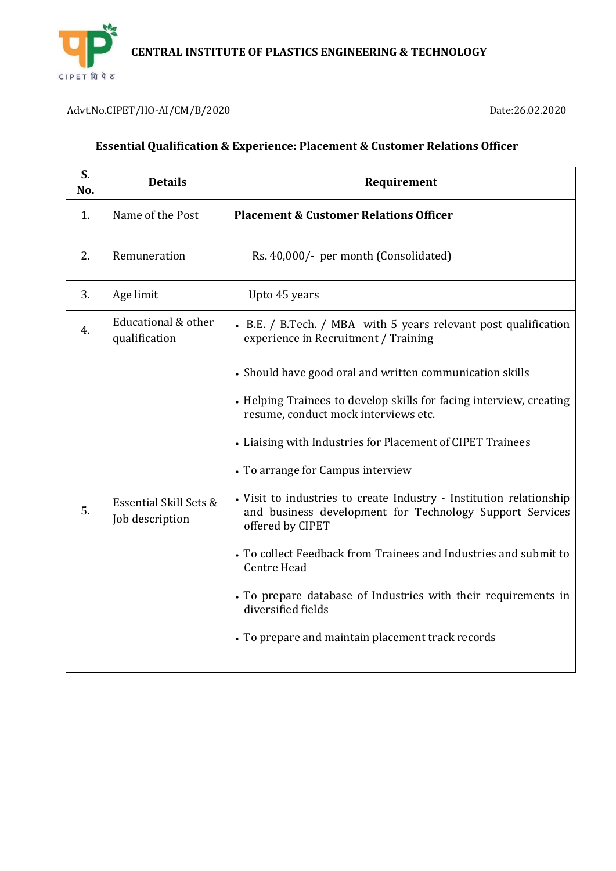

Advt.No.CIPET/HO-AI/CM/B/2020 Date:26.02.2020

| S.<br>No. | <b>Details</b>                                       | Requirement                                                                                                                                                                                                                                                                                                                                                                                                                                                                                                                                                                                                                                                       |
|-----------|------------------------------------------------------|-------------------------------------------------------------------------------------------------------------------------------------------------------------------------------------------------------------------------------------------------------------------------------------------------------------------------------------------------------------------------------------------------------------------------------------------------------------------------------------------------------------------------------------------------------------------------------------------------------------------------------------------------------------------|
| 1.        | Name of the Post                                     | <b>Placement &amp; Customer Relations Officer</b>                                                                                                                                                                                                                                                                                                                                                                                                                                                                                                                                                                                                                 |
| 2.        | Remuneration                                         | Rs. 40,000/- per month (Consolidated)                                                                                                                                                                                                                                                                                                                                                                                                                                                                                                                                                                                                                             |
| 3.        | Age limit                                            | Upto 45 years                                                                                                                                                                                                                                                                                                                                                                                                                                                                                                                                                                                                                                                     |
| 4.        | Educational & other<br>qualification                 | • B.E. / B.Tech. / MBA with 5 years relevant post qualification<br>experience in Recruitment / Training                                                                                                                                                                                                                                                                                                                                                                                                                                                                                                                                                           |
| 5.        | <b>Essential Skill Sets &amp;</b><br>Job description | • Should have good oral and written communication skills<br>• Helping Trainees to develop skills for facing interview, creating<br>resume, conduct mock interviews etc.<br>• Liaising with Industries for Placement of CIPET Trainees<br>• To arrange for Campus interview<br>• Visit to industries to create Industry - Institution relationship<br>and business development for Technology Support Services<br>offered by CIPET<br>• To collect Feedback from Trainees and Industries and submit to<br>Centre Head<br>• To prepare database of Industries with their requirements in<br>diversified fields<br>• To prepare and maintain placement track records |

#### **Essential Qualification & Experience: Placement & Customer Relations Officer**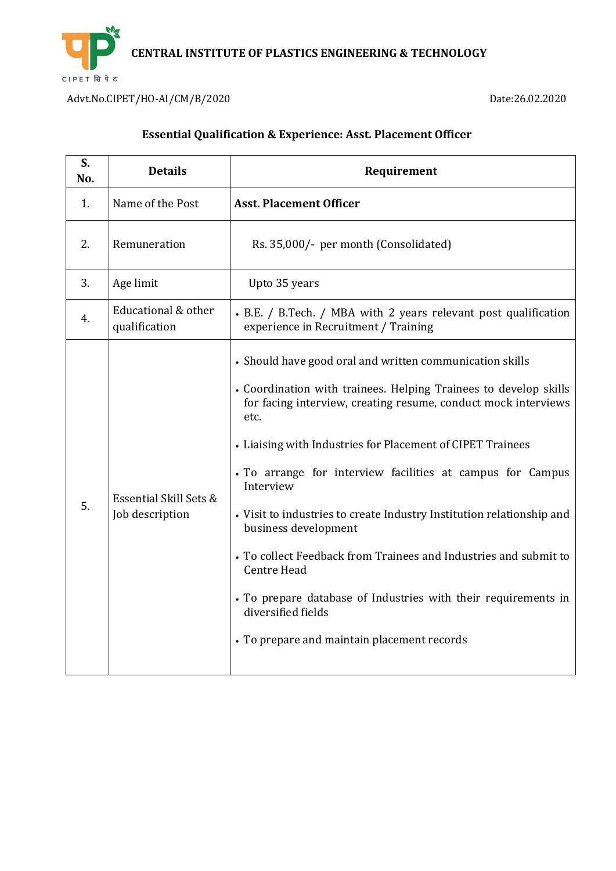

Advt.No.CIPET/HO-AI/CM/B/2020 Date:26.02.2020

# **Essential Qualification & Experience: Asst. Placement Officer**

| S.<br>No. | <b>Details</b>                            | Requirement                                                                                                                                                                                                                                                                                                                                                                                                                                                                                                                                                                                                                                                                       |
|-----------|-------------------------------------------|-----------------------------------------------------------------------------------------------------------------------------------------------------------------------------------------------------------------------------------------------------------------------------------------------------------------------------------------------------------------------------------------------------------------------------------------------------------------------------------------------------------------------------------------------------------------------------------------------------------------------------------------------------------------------------------|
| 1.        | Name of the Post                          | <b>Asst. Placement Officer</b>                                                                                                                                                                                                                                                                                                                                                                                                                                                                                                                                                                                                                                                    |
| 2.        | Remuneration                              | Rs. 35,000/- per month (Consolidated)                                                                                                                                                                                                                                                                                                                                                                                                                                                                                                                                                                                                                                             |
| 3.        | Age limit                                 | Upto 35 years                                                                                                                                                                                                                                                                                                                                                                                                                                                                                                                                                                                                                                                                     |
| 4.        | Educational & other<br>qualification      | • B.E. / B.Tech. / MBA with 2 years relevant post qualification<br>experience in Recruitment / Training                                                                                                                                                                                                                                                                                                                                                                                                                                                                                                                                                                           |
| 5.        | Essential Skill Sets &<br>Job description | • Should have good oral and written communication skills<br>• Coordination with trainees. Helping Trainees to develop skills<br>for facing interview, creating resume, conduct mock interviews<br>etc.<br>• Liaising with Industries for Placement of CIPET Trainees<br>• To arrange for interview facilities at campus for Campus<br>Interview<br>• Visit to industries to create Industry Institution relationship and<br>business development<br>• To collect Feedback from Trainees and Industries and submit to<br><b>Centre Head</b><br>• To prepare database of Industries with their requirements in<br>diversified fields<br>• To prepare and maintain placement records |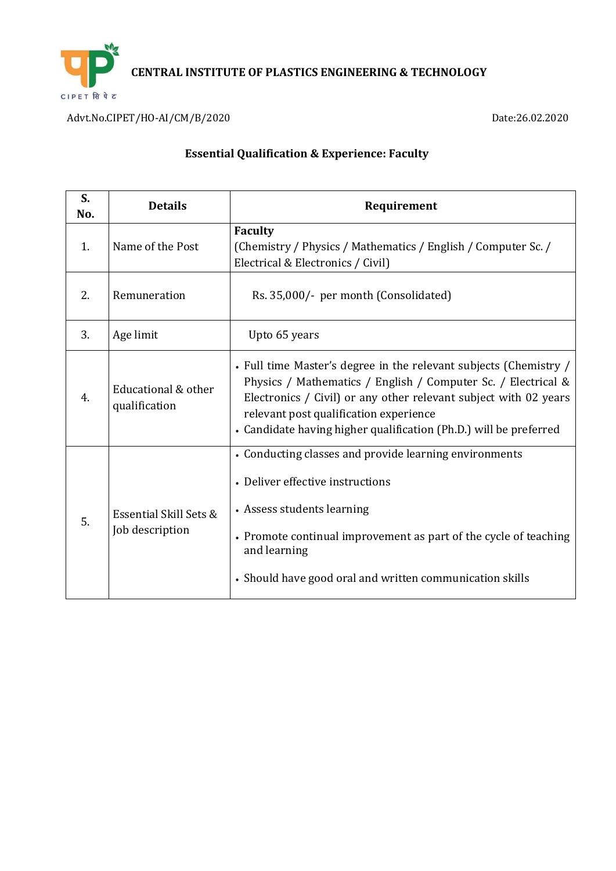

Advt.No.CIPET/HO-AI/CM/B/2020 Date:26.02.2020

| S.<br>No. | <b>Details</b>                            | Requirement                                                                                                                                                                                                                                                                                                           |
|-----------|-------------------------------------------|-----------------------------------------------------------------------------------------------------------------------------------------------------------------------------------------------------------------------------------------------------------------------------------------------------------------------|
| 1.        | Name of the Post                          | <b>Faculty</b><br>(Chemistry / Physics / Mathematics / English / Computer Sc. /<br>Electrical & Electronics / Civil)                                                                                                                                                                                                  |
| 2.        | Remuneration                              | Rs. 35,000/- per month (Consolidated)                                                                                                                                                                                                                                                                                 |
| 3.        | Age limit                                 | Upto 65 years                                                                                                                                                                                                                                                                                                         |
| 4.        | Educational & other<br>qualification      | • Full time Master's degree in the relevant subjects (Chemistry /<br>Physics / Mathematics / English / Computer Sc. / Electrical &<br>Electronics / Civil) or any other relevant subject with 02 years<br>relevant post qualification experience<br>• Candidate having higher qualification (Ph.D.) will be preferred |
| 5.        | Essential Skill Sets &<br>Job description | • Conducting classes and provide learning environments<br>• Deliver effective instructions<br>• Assess students learning<br>• Promote continual improvement as part of the cycle of teaching<br>and learning<br>• Should have good oral and written communication skills                                              |

### **Essential Qualification & Experience: Faculty**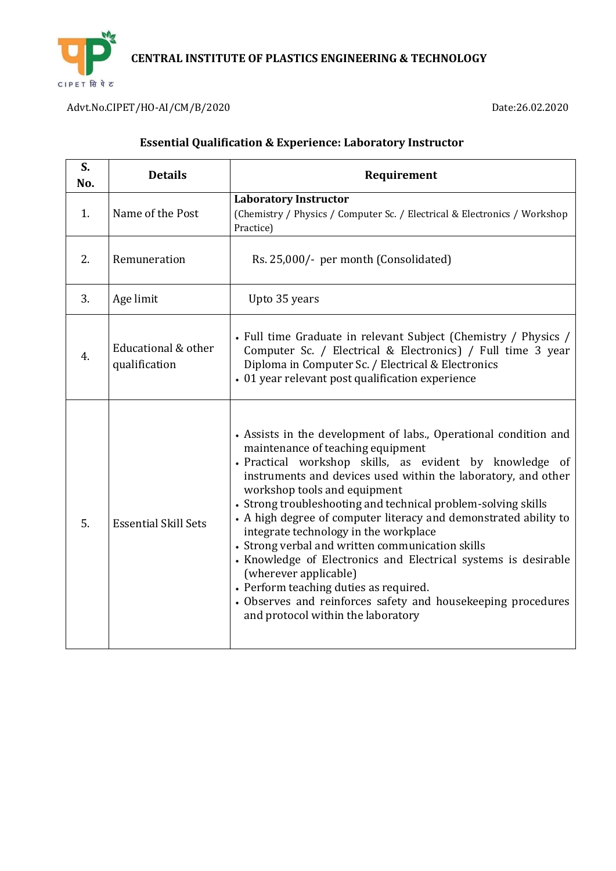

Advt.No.CIPET/HO-AI/CM/B/2020 Date:26.02.2020

| S.<br>No. | <b>Details</b>                       | Requirement                                                                                                                                                                                                                                                                                                                                                                                                                                                                                                                                                                                                                                                                                                                                    |
|-----------|--------------------------------------|------------------------------------------------------------------------------------------------------------------------------------------------------------------------------------------------------------------------------------------------------------------------------------------------------------------------------------------------------------------------------------------------------------------------------------------------------------------------------------------------------------------------------------------------------------------------------------------------------------------------------------------------------------------------------------------------------------------------------------------------|
| 1.        | Name of the Post                     | <b>Laboratory Instructor</b><br>(Chemistry / Physics / Computer Sc. / Electrical & Electronics / Workshop<br>Practice)                                                                                                                                                                                                                                                                                                                                                                                                                                                                                                                                                                                                                         |
| 2.        | Remuneration                         | Rs. 25,000/- per month (Consolidated)                                                                                                                                                                                                                                                                                                                                                                                                                                                                                                                                                                                                                                                                                                          |
| 3.        | Age limit                            | Upto 35 years                                                                                                                                                                                                                                                                                                                                                                                                                                                                                                                                                                                                                                                                                                                                  |
| 4.        | Educational & other<br>qualification | • Full time Graduate in relevant Subject (Chemistry / Physics /<br>Computer Sc. / Electrical & Electronics) / Full time 3 year<br>Diploma in Computer Sc. / Electrical & Electronics<br>• 01 year relevant post qualification experience                                                                                                                                                                                                                                                                                                                                                                                                                                                                                                       |
| 5.        | <b>Essential Skill Sets</b>          | • Assists in the development of labs., Operational condition and<br>maintenance of teaching equipment<br>· Practical workshop skills, as evident by knowledge of<br>instruments and devices used within the laboratory, and other<br>workshop tools and equipment<br>• Strong troubleshooting and technical problem-solving skills<br>• A high degree of computer literacy and demonstrated ability to<br>integrate technology in the workplace<br>• Strong verbal and written communication skills<br>• Knowledge of Electronics and Electrical systems is desirable<br>(wherever applicable)<br>• Perform teaching duties as required.<br>• Observes and reinforces safety and housekeeping procedures<br>and protocol within the laboratory |

# **Essential Qualification & Experience: Laboratory Instructor**